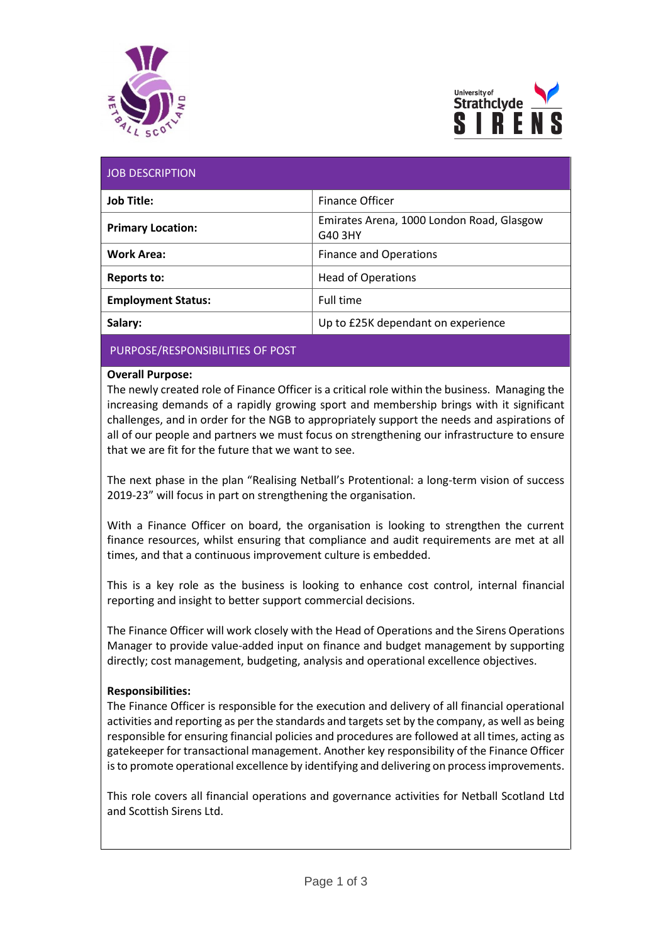



| <b>JOB DESCRIPTION</b> |  |  |  |
|------------------------|--|--|--|
|                        |  |  |  |
|                        |  |  |  |

| <b>Job Title:</b>         | <b>Finance Officer</b>                               |  |  |
|---------------------------|------------------------------------------------------|--|--|
| <b>Primary Location:</b>  | Emirates Arena, 1000 London Road, Glasgow<br>G40 3HY |  |  |
| <b>Work Area:</b>         | <b>Finance and Operations</b>                        |  |  |
| Reports to:               | <b>Head of Operations</b>                            |  |  |
| <b>Employment Status:</b> | Full time                                            |  |  |
| Salary:                   | Up to £25K dependant on experience                   |  |  |

# PURPOSE/RESPONSIBILITIES OF POST

### **Overall Purpose:**

The newly created role of Finance Officer is a critical role within the business. Managing the increasing demands of a rapidly growing sport and membership brings with it significant challenges, and in order for the NGB to appropriately support the needs and aspirations of all of our people and partners we must focus on strengthening our infrastructure to ensure that we are fit for the future that we want to see.

The next phase in the plan "Realising Netball's Protentional: a long-term vision of success 2019-23" will focus in part on strengthening the organisation.

With a Finance Officer on board, the organisation is looking to strengthen the current finance resources, whilst ensuring that compliance and audit requirements are met at all times, and that a continuous improvement culture is embedded.

This is a key role as the business is looking to enhance cost control, internal financial reporting and insight to better support commercial decisions.

The Finance Officer will work closely with the Head of Operations and the Sirens Operations Manager to provide value-added input on finance and budget management by supporting directly; cost management, budgeting, analysis and operational excellence objectives.

# **Responsibilities:**

The Finance Officer is responsible for the execution and delivery of all financial operational activities and reporting as per the standards and targets set by the company, as well as being responsible for ensuring financial policies and procedures are followed at all times, acting as gatekeeper for transactional management. Another key responsibility of the Finance Officer is to promote operational excellence by identifying and delivering on process improvements.

This role covers all financial operations and governance activities for Netball Scotland Ltd and Scottish Sirens Ltd.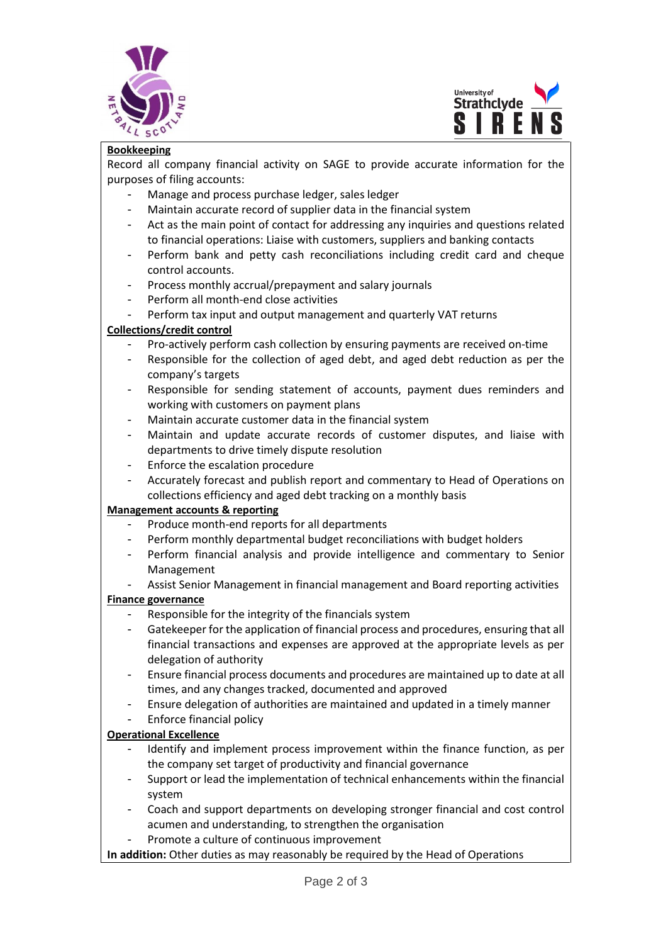



#### **Bookkeeping**

Record all company financial activity on SAGE to provide accurate information for the purposes of filing accounts:

Manage and process purchase ledger, sales ledger

 $\overline{a}$ 

- Maintain accurate record of supplier data in the financial system
- Act as the main point of contact for addressing any inquiries and questions related to financial operations: Liaise with customers, suppliers and banking contacts
- Perform bank and petty cash reconciliations including credit card and cheque control accounts.
- Process monthly accrual/prepayment and salary journals
- Perform all month-end close activities
- Perform tax input and output management and quarterly VAT returns

# **Collections/credit control**

- Pro-actively perform cash collection by ensuring payments are received on-time
- Responsible for the collection of aged debt, and aged debt reduction as per the company's targets
- Responsible for sending statement of accounts, payment dues reminders and working with customers on payment plans
- Maintain accurate customer data in the financial system
- Maintain and update accurate records of customer disputes, and liaise with departments to drive timely dispute resolution
- Enforce the escalation procedure
- Accurately forecast and publish report and commentary to Head of Operations on collections efficiency and aged debt tracking on a monthly basis

#### **Management accounts & reporting**

- Produce month-end reports for all departments
- Perform monthly departmental budget reconciliations with budget holders
- Perform financial analysis and provide intelligence and commentary to Senior Management
- Assist Senior Management in financial management and Board reporting activities

#### **Finance governance**

- Responsible for the integrity of the financials system
- Gatekeeper for the application of financial process and procedures, ensuring that all financial transactions and expenses are approved at the appropriate levels as per delegation of authority
- Ensure financial process documents and procedures are maintained up to date at all times, and any changes tracked, documented and approved
- Ensure delegation of authorities are maintained and updated in a timely manner
- Enforce financial policy

# **Operational Excellence**

- Identify and implement process improvement within the finance function, as per the company set target of productivity and financial governance
- Support or lead the implementation of technical enhancements within the financial system
- Coach and support departments on developing stronger financial and cost control acumen and understanding, to strengthen the organisation
- Promote a culture of continuous improvement

**In addition:** Other duties as may reasonably be required by the Head of Operations